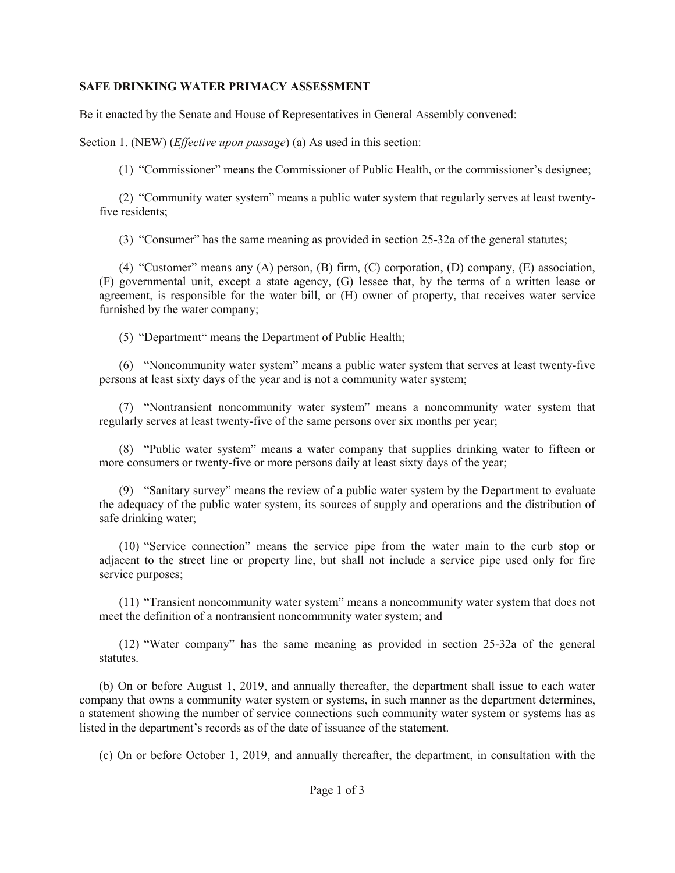## **SAFE DRINKING WATER PRIMACY ASSESSMENT**

Be it enacted by the Senate and House of Representatives in General Assembly convened:

Section 1. (NEW) (*Effective upon passage*) (a) As used in this section:

(1) "Commissioner" means the Commissioner of Public Health, or the commissioner's designee;

(2) "Community water system" means a public water system that regularly serves at least twentyfive residents;

(3) "Consumer" has the same meaning as provided in section 25-32a of the general statutes;

(4) "Customer" means any (A) person, (B) firm, (C) corporation, (D) company, (E) association, (F) governmental unit, except a state agency, (G) lessee that, by the terms of a written lease or agreement, is responsible for the water bill, or (H) owner of property, that receives water service furnished by the water company;

(5) "Department" means the Department of Public Health;

(6) "Noncommunity water system" means a public water system that serves at least twenty-five persons at least sixty days of the year and is not a community water system;

(7) "Nontransient noncommunity water system" means a noncommunity water system that regularly serves at least twenty-five of the same persons over six months per year;

(8) "Public water system" means a water company that supplies drinking water to fifteen or more consumers or twenty-five or more persons daily at least sixty days of the year;

(9) "Sanitary survey" means the review of a public water system by the Department to evaluate the adequacy of the public water system, its sources of supply and operations and the distribution of safe drinking water;

(10) "Service connection" means the service pipe from the water main to the curb stop or adjacent to the street line or property line, but shall not include a service pipe used only for fire service purposes;

(11) "Transient noncommunity water system" means a noncommunity water system that does not meet the definition of a nontransient noncommunity water system; and

(12) "Water company" has the same meaning as provided in section 25-32a of the general statutes.

(b) On or before August 1, 2019, and annually thereafter, the department shall issue to each water company that owns a community water system or systems, in such manner as the department determines, a statement showing the number of service connections such community water system or systems has as listed in the department's records as of the date of issuance of the statement.

(c) On or before October 1, 2019, and annually thereafter, the department, in consultation with the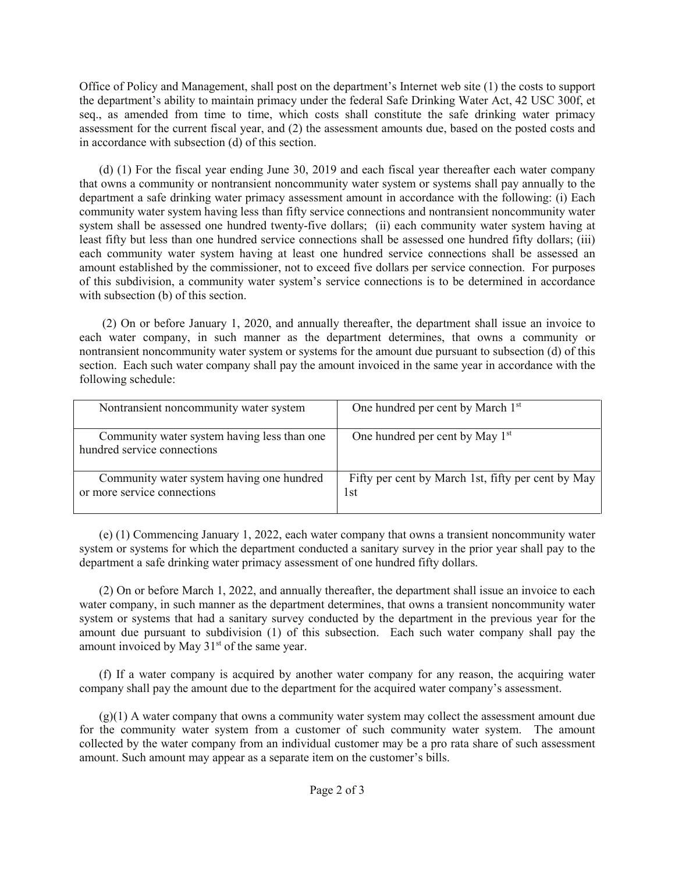Office of Policy and Management, shall post on the department's Internet web site (1) the costs to support the department's ability to maintain primacy under the federal Safe Drinking Water Act, 42 USC 300f, et seq., as amended from time to time, which costs shall constitute the safe drinking water primacy assessment for the current fiscal year, and (2) the assessment amounts due, based on the posted costs and in accordance with subsection (d) of this section.

(d) (1) For the fiscal year ending June 30, 2019 and each fiscal year thereafter each water company that owns a community or nontransient noncommunity water system or systems shall pay annually to the department a safe drinking water primacy assessment amount in accordance with the following: (i) Each community water system having less than fifty service connections and nontransient noncommunity water system shall be assessed one hundred twenty-five dollars; (ii) each community water system having at least fifty but less than one hundred service connections shall be assessed one hundred fifty dollars; (iii) each community water system having at least one hundred service connections shall be assessed an amount established by the commissioner, not to exceed five dollars per service connection. For purposes of this subdivision, a community water system's service connections is to be determined in accordance with subsection (b) of this section.

(2) On or before January 1, 2020, and annually thereafter, the department shall issue an invoice to each water company, in such manner as the department determines, that owns a community or nontransient noncommunity water system or systems for the amount due pursuant to subsection (d) of this section. Each such water company shall pay the amount invoiced in the same year in accordance with the following schedule:

| Nontransient noncommunity water system                                     | One hundred per cent by March 1st                         |
|----------------------------------------------------------------------------|-----------------------------------------------------------|
| Community water system having less than one<br>hundred service connections | One hundred per cent by May 1 <sup>st</sup>               |
| Community water system having one hundred<br>or more service connections   | Fifty per cent by March 1st, fifty per cent by May<br>1st |

(e) (1) Commencing January 1, 2022, each water company that owns a transient noncommunity water system or systems for which the department conducted a sanitary survey in the prior year shall pay to the department a safe drinking water primacy assessment of one hundred fifty dollars.

(2) On or before March 1, 2022, and annually thereafter, the department shall issue an invoice to each water company, in such manner as the department determines, that owns a transient noncommunity water system or systems that had a sanitary survey conducted by the department in the previous year for the amount due pursuant to subdivision (1) of this subsection. Each such water company shall pay the amount invoiced by May 31<sup>st</sup> of the same year.

(f) If a water company is acquired by another water company for any reason, the acquiring water company shall pay the amount due to the department for the acquired water company's assessment.

 $(g)(1)$  A water company that owns a community water system may collect the assessment amount due for the community water system from a customer of such community water system. The amount collected by the water company from an individual customer may be a pro rata share of such assessment amount. Such amount may appear as a separate item on the customer's bills.